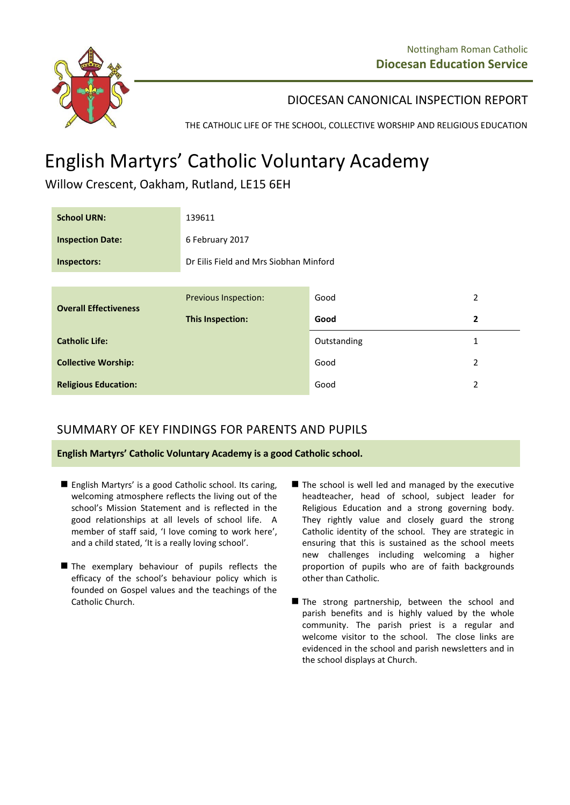

DIOCESAN CANONICAL INSPECTION REPORT

THE CATHOLIC LIFE OF THE SCHOOL, COLLECTIVE WORSHIP AND RELIGIOUS EDUCATION

# English Martyrs' Catholic Voluntary Academy

Willow Crescent, Oakham, Rutland, LE15 6EH

| <b>School URN:</b>           | 139611                                 |             |                |
|------------------------------|----------------------------------------|-------------|----------------|
| <b>Inspection Date:</b>      | 6 February 2017                        |             |                |
| Inspectors:                  | Dr Eilis Field and Mrs Siobhan Minford |             |                |
|                              |                                        |             |                |
| <b>Overall Effectiveness</b> | <b>Previous Inspection:</b>            | Good        | 2              |
|                              | <b>This Inspection:</b>                | Good        | $\overline{2}$ |
| <b>Catholic Life:</b>        |                                        | Outstanding | 1              |
| <b>Collective Worship:</b>   |                                        | Good        | 2              |
| <b>Religious Education:</b>  |                                        | Good        | 2              |

# SUMMARY OF KEY FINDINGS FOR PARENTS AND PUPILS

**English Martyrs' Catholic Voluntary Academy is a good Catholic school.**

- English Martyrs' is a good Catholic school. Its caring, welcoming atmosphere reflects the living out of the school's Mission Statement and is reflected in the good relationships at all levels of school life. A member of staff said, 'I love coming to work here', and a child stated, 'It is a really loving school'.
- The exemplary behaviour of pupils reflects the efficacy of the school's behaviour policy which is founded on Gospel values and the teachings of the Catholic Church.
- The school is well led and managed by the executive headteacher, head of school, subject leader for Religious Education and a strong governing body. They rightly value and closely guard the strong Catholic identity of the school. They are strategic in ensuring that this is sustained as the school meets new challenges including welcoming a higher proportion of pupils who are of faith backgrounds other than Catholic.
- The strong partnership, between the school and parish benefits and is highly valued by the whole community. The parish priest is a regular and welcome visitor to the school. The close links are evidenced in the school and parish newsletters and in the school displays at Church.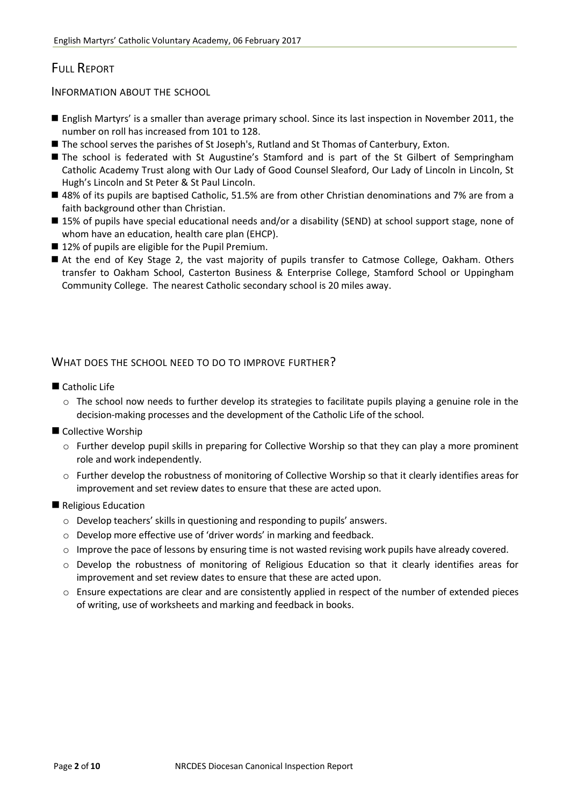# FULL REPORT

INFORMATION ABOUT THE SCHOOL

- English Martyrs' is a smaller than average primary school. Since its last inspection in November 2011, the number on roll has increased from 101 to 128.
- The school serves the parishes of St Joseph's, Rutland and St Thomas of Canterbury, Exton.
- The school is federated with St Augustine's Stamford and is part of the St Gilbert of Sempringham Catholic Academy Trust along with Our Lady of Good Counsel Sleaford, Our Lady of Lincoln in Lincoln, St Hugh's Lincoln and St Peter & St Paul Lincoln.
- 48% of its pupils are baptised Catholic, 51.5% are from other Christian denominations and 7% are from a faith background other than Christian.
- 15% of pupils have special educational needs and/or a disability (SEND) at school support stage, none of whom have an education, health care plan (EHCP).
- 12% of pupils are eligible for the Pupil Premium.
- At the end of Key Stage 2, the vast majority of pupils transfer to Catmose College, Oakham. Others transfer to Oakham School, Casterton Business & Enterprise College, Stamford School or Uppingham Community College. The nearest Catholic secondary school is 20 miles away.

### WHAT DOES THE SCHOOL NEED TO DO TO IMPROVE FURTHER?

- Catholic Life
	- $\circ$  The school now needs to further develop its strategies to facilitate pupils playing a genuine role in the decision-making processes and the development of the Catholic Life of the school.
- Collective Worship
	- o Further develop pupil skills in preparing for Collective Worship so that they can play a more prominent role and work independently.
	- o Further develop the robustness of monitoring of Collective Worship so that it clearly identifies areas for improvement and set review dates to ensure that these are acted upon.

#### Religious Education

- o Develop teachers' skills in questioning and responding to pupils' answers.
- o Develop more effective use of 'driver words' in marking and feedback.
- $\circ$  Improve the pace of lessons by ensuring time is not wasted revising work pupils have already covered.
- o Develop the robustness of monitoring of Religious Education so that it clearly identifies areas for improvement and set review dates to ensure that these are acted upon.
- $\circ$  Ensure expectations are clear and are consistently applied in respect of the number of extended pieces of writing, use of worksheets and marking and feedback in books.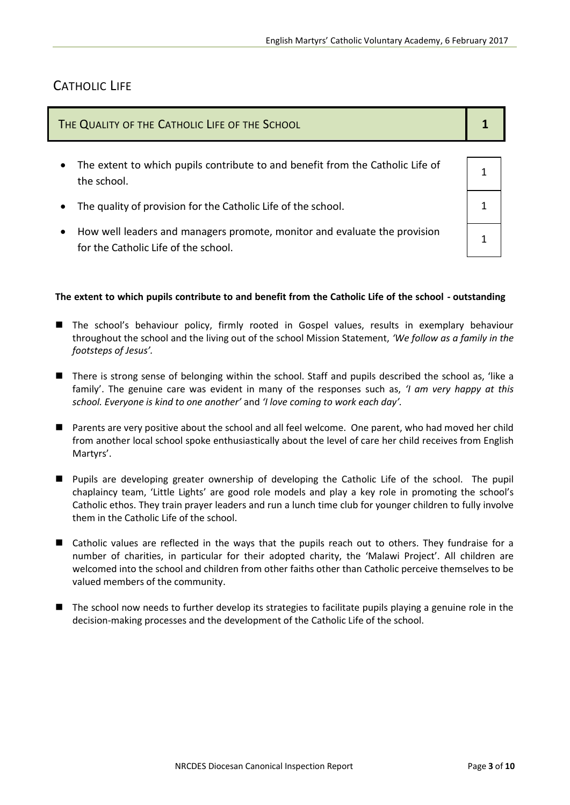## CATHOLIC LIFE

| THE QUALITY OF THE CATHOLIC LIFE OF THE SCHOOL                                                                                 |  |
|--------------------------------------------------------------------------------------------------------------------------------|--|
| The extent to which pupils contribute to and benefit from the Catholic Life of<br>$\bullet$<br>the school.                     |  |
| The quality of provision for the Catholic Life of the school.<br>$\bullet$                                                     |  |
| How well leaders and managers promote, monitor and evaluate the provision<br>$\bullet$<br>for the Catholic Life of the school. |  |

#### The extent to which pupils contribute to and benefit from the Catholic Life of the school - outstanding

- The school's behaviour policy, firmly rooted in Gospel values, results in exemplary behaviour throughout the school and the living out of the school Mission Statement, *'We follow as a family in the footsteps of Jesus'.*
- There is strong sense of belonging within the school. Staff and pupils described the school as, 'like a family'. The genuine care was evident in many of the responses such as, *'I am very happy at this school. Everyone is kind to one another'* and *'I love coming to work each day'.*
- Parents are very positive about the school and all feel welcome. One parent, who had moved her child from another local school spoke enthusiastically about the level of care her child receives from English Martyrs'.
- Pupils are developing greater ownership of developing the Catholic Life of the school. The pupil chaplaincy team, 'Little Lights' are good role models and play a key role in promoting the school's Catholic ethos. They train prayer leaders and run a lunch time club for younger children to fully involve them in the Catholic Life of the school.
- Catholic values are reflected in the ways that the pupils reach out to others. They fundraise for a number of charities, in particular for their adopted charity, the 'Malawi Project'. All children are welcomed into the school and children from other faiths other than Catholic perceive themselves to be valued members of the community.
- The school now needs to further develop its strategies to facilitate pupils playing a genuine role in the decision-making processes and the development of the Catholic Life of the school.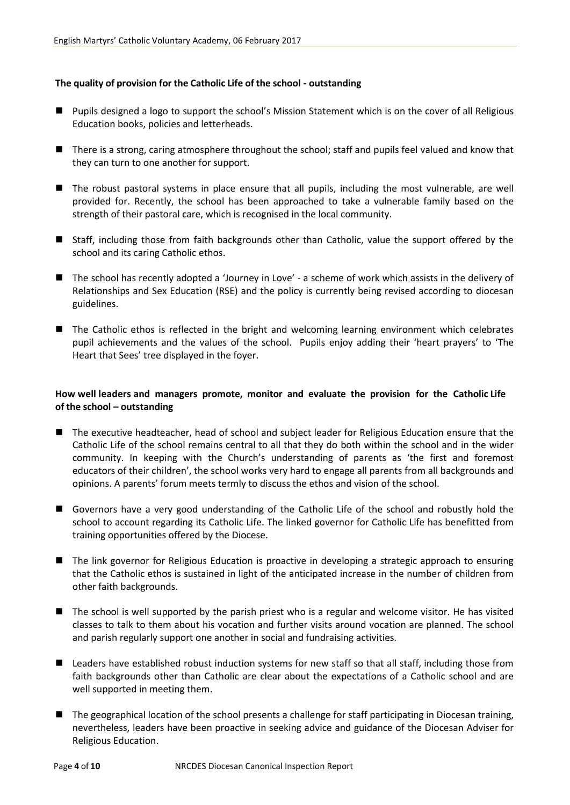#### **The quality of provision for the Catholic Life of the school - outstanding**

- **Pupils designed a logo to support the school's Mission Statement which is on the cover of all Religious** Education books, policies and letterheads.
- There is a strong, caring atmosphere throughout the school; staff and pupils feel valued and know that they can turn to one another for support.
- The robust pastoral systems in place ensure that all pupils, including the most vulnerable, are well provided for. Recently, the school has been approached to take a vulnerable family based on the strength of their pastoral care, which is recognised in the local community.
- Staff, including those from faith backgrounds other than Catholic, value the support offered by the school and its caring Catholic ethos.
- The school has recently adopted a 'Journey in Love' a scheme of work which assists in the delivery of Relationships and Sex Education (RSE) and the policy is currently being revised according to diocesan guidelines.
- The Catholic ethos is reflected in the bright and welcoming learning environment which celebrates pupil achievements and the values of the school. Pupils enjoy adding their 'heart prayers' to 'The Heart that Sees' tree displayed in the foyer.

#### **How well leaders and managers promote, monitor and evaluate the provision for the Catholic Life of the school – outstanding**

- The executive headteacher, head of school and subject leader for Religious Education ensure that the Catholic Life of the school remains central to all that they do both within the school and in the wider community. In keeping with the Church's understanding of parents as 'the first and foremost educators of their children', the school works very hard to engage all parents from all backgrounds and opinions. A parents' forum meets termly to discuss the ethos and vision of the school.
- **E** Governors have a very good understanding of the Catholic Life of the school and robustly hold the school to account regarding its Catholic Life. The linked governor for Catholic Life has benefitted from training opportunities offered by the Diocese.
- The link governor for Religious Education is proactive in developing a strategic approach to ensuring that the Catholic ethos is sustained in light of the anticipated increase in the number of children from other faith backgrounds.
- The school is well supported by the parish priest who is a regular and welcome visitor. He has visited classes to talk to them about his vocation and further visits around vocation are planned. The school and parish regularly support one another in social and fundraising activities.
- Leaders have established robust induction systems for new staff so that all staff, including those from faith backgrounds other than Catholic are clear about the expectations of a Catholic school and are well supported in meeting them.
- The geographical location of the school presents a challenge for staff participating in Diocesan training, nevertheless, leaders have been proactive in seeking advice and guidance of the Diocesan Adviser for Religious Education.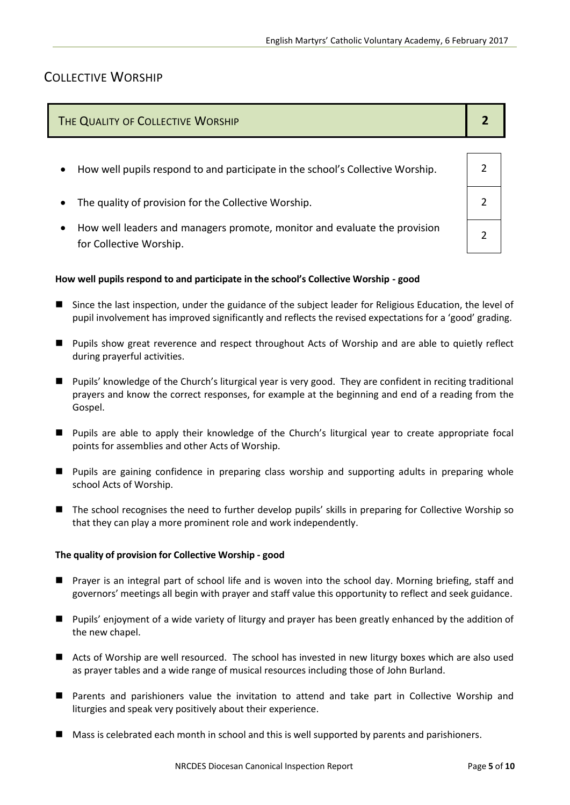## COLLECTIVE WORSHIP

| THE QUALITY OF COLLECTIVE WORSHIP                                                                                 |  |
|-------------------------------------------------------------------------------------------------------------------|--|
|                                                                                                                   |  |
| How well pupils respond to and participate in the school's Collective Worship.<br>$\bullet$                       |  |
| The quality of provision for the Collective Worship.<br>$\bullet$                                                 |  |
| How well leaders and managers promote, monitor and evaluate the provision<br>$\bullet$<br>for Collective Worship. |  |

#### **How well pupils respond to and participate in the school's Collective Worship - good**

- Since the last inspection, under the guidance of the subject leader for Religious Education, the level of pupil involvement has improved significantly and reflects the revised expectations for a 'good' grading.
- **Pupils show great reverence and respect throughout Acts of Worship and are able to quietly reflect** during prayerful activities.
- Pupils' knowledge of the Church's liturgical year is very good. They are confident in reciting traditional prayers and know the correct responses, for example at the beginning and end of a reading from the Gospel.
- **Pupils are able to apply their knowledge of the Church's liturgical year to create appropriate focal** points for assemblies and other Acts of Worship.
- Pupils are gaining confidence in preparing class worship and supporting adults in preparing whole school Acts of Worship.
- The school recognises the need to further develop pupils' skills in preparing for Collective Worship so that they can play a more prominent role and work independently.

#### **The quality of provision for Collective Worship - good**

- Prayer is an integral part of school life and is woven into the school day. Morning briefing, staff and governors' meetings all begin with prayer and staff value this opportunity to reflect and seek guidance.
- Pupils' enjoyment of a wide variety of liturgy and prayer has been greatly enhanced by the addition of the new chapel.
- Acts of Worship are well resourced. The school has invested in new liturgy boxes which are also used as prayer tables and a wide range of musical resources including those of John Burland.
- Parents and parishioners value the invitation to attend and take part in Collective Worship and liturgies and speak very positively about their experience.
- **Mass is celebrated each month in school and this is well supported by parents and parishioners.**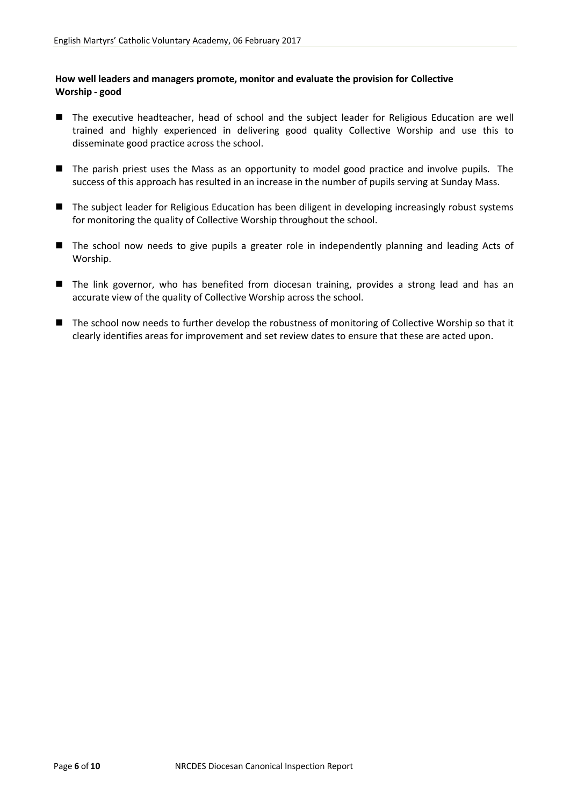#### **How well leaders and managers promote, monitor and evaluate the provision for Collective Worship - good**

- The executive headteacher, head of school and the subject leader for Religious Education are well trained and highly experienced in delivering good quality Collective Worship and use this to disseminate good practice across the school.
- The parish priest uses the Mass as an opportunity to model good practice and involve pupils. The success of this approach has resulted in an increase in the number of pupils serving at Sunday Mass.
- The subject leader for Religious Education has been diligent in developing increasingly robust systems for monitoring the quality of Collective Worship throughout the school.
- The school now needs to give pupils a greater role in independently planning and leading Acts of Worship.
- The link governor, who has benefited from diocesan training, provides a strong lead and has an accurate view of the quality of Collective Worship across the school.
- The school now needs to further develop the robustness of monitoring of Collective Worship so that it clearly identifies areas for improvement and set review dates to ensure that these are acted upon.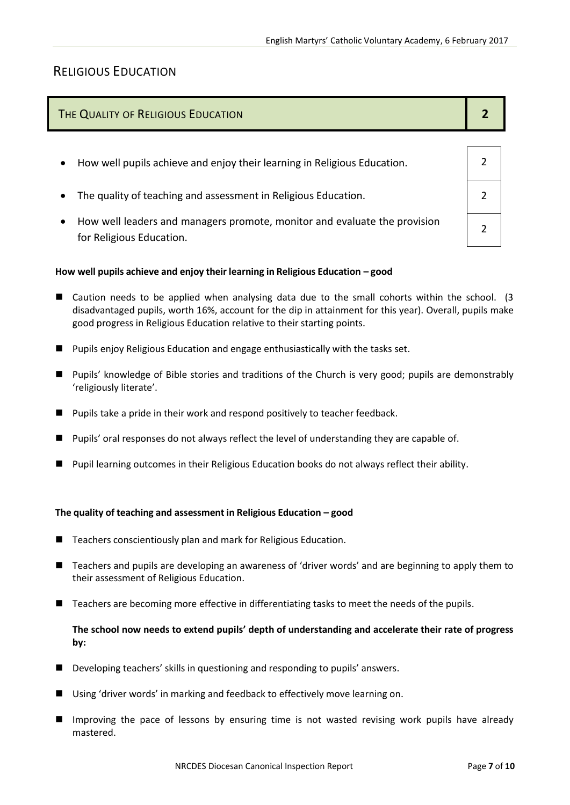# RELIGIOUS EDUCATION

| THE QUALITY OF RELIGIOUS EDUCATION |  |
|------------------------------------|--|
|                                    |  |

- How well pupils achieve and enjoy their learning in Religious Education. 2
- The quality of teaching and assessment in Religious Education. 2
- How well leaders and managers promote, monitor and evaluate the provision for Religious Education.

#### **How well pupils achieve and enjoy their learning in Religious Education – good**

- Caution needs to be applied when analysing data due to the small cohorts within the school. (3 disadvantaged pupils, worth 16%, account for the dip in attainment for this year). Overall, pupils make good progress in Religious Education relative to their starting points.
- **Pupils enjoy Religious Education and engage enthusiastically with the tasks set.**
- **Pupils' knowledge of Bible stories and traditions of the Church is very good; pupils are demonstrably** 'religiously literate'.
- Pupils take a pride in their work and respond positively to teacher feedback.
- **Pupils' oral responses do not always reflect the level of understanding they are capable of.**
- **Pupil learning outcomes in their Religious Education books do not always reflect their ability.**

#### **The quality of teaching and assessment in Religious Education – good**

- Teachers conscientiously plan and mark for Religious Education.
- Teachers and pupils are developing an awareness of 'driver words' and are beginning to apply them to their assessment of Religious Education.
- Teachers are becoming more effective in differentiating tasks to meet the needs of the pupils.

#### **The school now needs to extend pupils' depth of understanding and accelerate their rate of progress by:**

- Developing teachers' skills in questioning and responding to pupils' answers.
- Using 'driver words' in marking and feedback to effectively move learning on.
- Improving the pace of lessons by ensuring time is not wasted revising work pupils have already mastered.

 $\mathfrak{D}$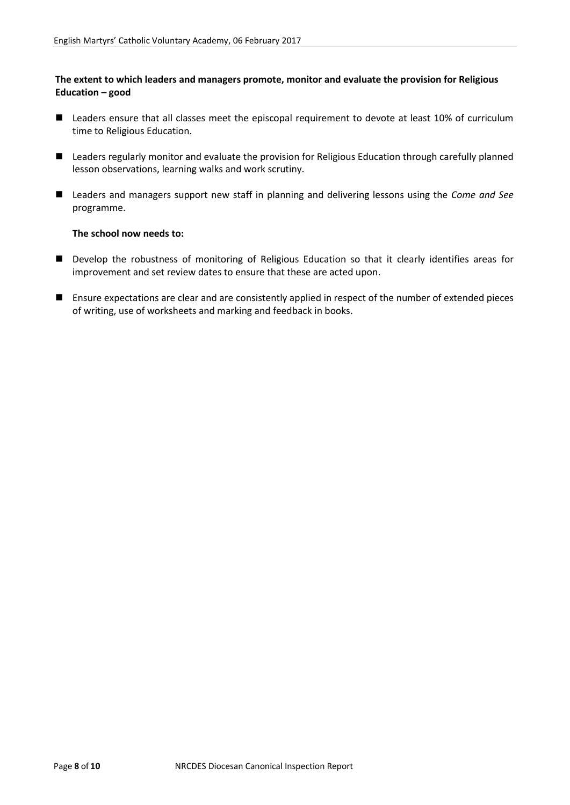#### **The extent to which leaders and managers promote, monitor and evaluate the provision for Religious Education – good**

- Leaders ensure that all classes meet the episcopal requirement to devote at least 10% of curriculum time to Religious Education.
- Leaders regularly monitor and evaluate the provision for Religious Education through carefully planned lesson observations, learning walks and work scrutiny.
- Leaders and managers support new staff in planning and delivering lessons using the *Come and See* programme.

#### **The school now needs to:**

- **Develop the robustness of monitoring of Religious Education so that it clearly identifies areas for** improvement and set review dates to ensure that these are acted upon.
- Ensure expectations are clear and are consistently applied in respect of the number of extended pieces of writing, use of worksheets and marking and feedback in books.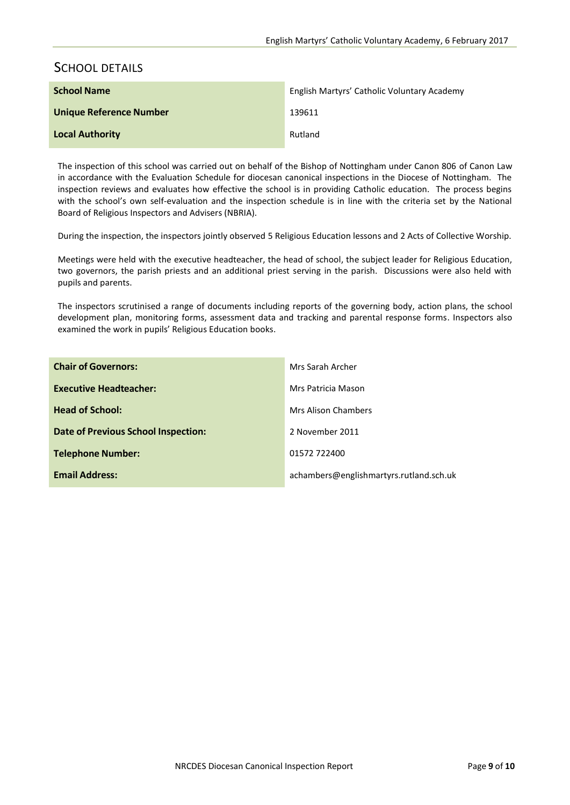## SCHOOL DETAILS

| <b>School Name</b>      | English Martyrs' Catholic Voluntary Academy |
|-------------------------|---------------------------------------------|
| Unique Reference Number | 139611                                      |
| <b>Local Authority</b>  | Rutland                                     |

The inspection of this school was carried out on behalf of the Bishop of Nottingham under Canon 806 of Canon Law in accordance with the Evaluation Schedule for diocesan canonical inspections in the Diocese of Nottingham. The inspection reviews and evaluates how effective the school is in providing Catholic education. The process begins with the school's own self-evaluation and the inspection schedule is in line with the criteria set by the National Board of Religious Inspectors and Advisers (NBRIA).

During the inspection, the inspectors jointly observed 5 Religious Education lessons and 2 Acts of Collective Worship.

Meetings were held with the executive headteacher, the head of school, the subject leader for Religious Education, two governors, the parish priests and an additional priest serving in the parish. Discussions were also held with pupils and parents.

The inspectors scrutinised a range of documents including reports of the governing body, action plans, the school development plan, monitoring forms, assessment data and tracking and parental response forms. Inspectors also examined the work in pupils' Religious Education books.

| <b>Chair of Governors:</b>                 | Mrs Sarah Archer                        |
|--------------------------------------------|-----------------------------------------|
| <b>Executive Headteacher:</b>              | Mrs Patricia Mason                      |
| <b>Head of School:</b>                     | <b>Mrs Alison Chambers</b>              |
| <b>Date of Previous School Inspection:</b> | 2 November 2011                         |
| <b>Telephone Number:</b>                   | 01572 722400                            |
| <b>Email Address:</b>                      | achambers@englishmartyrs.rutland.sch.uk |